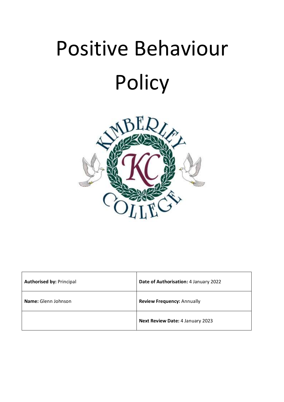

| <b>Authorised by: Principal</b> | Date of Authorisation: 4 January 2022   |
|---------------------------------|-----------------------------------------|
| Name: Glenn Johnson             | <b>Review Frequency: Annually</b>       |
|                                 | <b>Next Review Date: 4 January 2023</b> |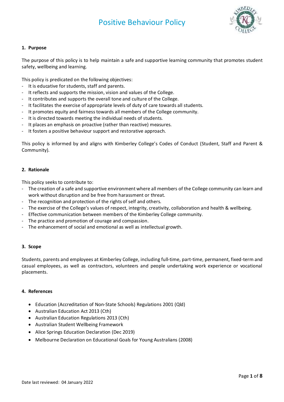

#### **1. Purpose**

The purpose of this policy is to help maintain a safe and supportive learning community that promotes student safety, wellbeing and learning.

This policy is predicated on the following objectives:

- It is educative for students, staff and parents.
- It reflects and supports the mission, vision and values of the College.
- It contributes and supports the overall tone and culture of the College.
- It facilitates the exercise of appropriate levels of duty of care towards all students.
- It promotes equity and fairness towards all members of the College community.
- It is directed towards meeting the individual needs of students.
- It places an emphasis on proactive (rather than reactive) measures.
- It fosters a positive behaviour support and restorative approach.

This policy is informed by and aligns with Kimberley College's Codes of Conduct (Student, Staff and Parent & Community).

#### **2. Rationale**

This policy seeks to contribute to:

- The creation of a safe and supportive environment where all members of the College community can learn and work without disruption and be free from harassment or threat.
- The recognition and protection of the rights of self and others.
- The exercise of the College's values of respect, integrity, creativity, collaboration and health & wellbeing.
- Effective communication between members of the Kimberley College community.
- The practice and promotion of courage and compassion.
- The enhancement of social and emotional as well as intellectual growth.

#### **3. Scope**

Students, parents and employees at Kimberley College, including full-time, part-time, permanent, fixed-term and casual employees, as well as contractors, volunteers and people undertaking work experience or vocational placements.

#### **4. References**

- Education (Accreditation of Non-State Schools) Regulations 2001 (Qld)
- Australian Education Act 2013 (Cth)
- Australian Education Regulations 2013 (Cth)
- [Australian Student Wellbeing Framework](http://docs.education.gov.au/node/20162)
- Alice Springs Education Declaration (Dec 2019)
- Melbourne Declaration on Educational Goals for Young Australians (2008)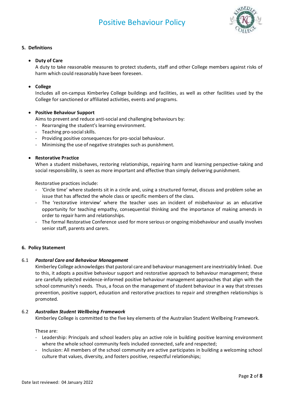

## **5. Definitions**

#### • **Duty of Care**

A duty to take reasonable measures to protect students, staff and other College members against risks of harm which could reasonably have been foreseen.

## • **College**

Includes all on-campus Kimberley College buildings and facilities, as well as other facilities used by the College for sanctioned or affiliated activities, events and programs.

## • **Positive Behaviour Support**

Aims to prevent and reduce anti-social and challenging behaviours by:

- Rearranging the student's learning environment.
- Teaching pro-social skills.
- Providing positive consequences for pro-social behaviour.
- Minimising the use of negative strategies such as punishment.

## • **Restorative Practice**

When a student misbehaves, restoring relationships, repairing harm and learning perspective-taking and social responsibility, is seen as more important and effective than simply delivering punishment.

Restorative practices include:

- 'Circle time' where students sit in a circle and, using a structured format, discuss and problem solve an issue that has affected the whole class or specific members of the class.
- The 'restorative interview' where the teacher uses an incident of misbehaviour as an educative opportunity for teaching empathy, consequential thinking and the importance of making amends in order to repair harm and relationships.
- The formal Restorative Conference used for more serious or ongoing misbehaviour and usually involves senior staff, parents and carers.

#### **6. Policy Statement**

#### 6.1 *Pastoral Care and Behaviour Management*

Kimberley College acknowledges that pastoral care and behaviour management are inextricably linked. Due to this, it adopts a positive behaviour support and restorative approach to behaviour management; these are carefully selected evidence-informed positive behaviour management approaches that align with the school community's needs. Thus, a focus on the management of student behaviour in a way that stresses prevention, positive support, education and restorative practices to repair and strengthen relationships is promoted.

#### 6.2 *Australian Student Wellbeing Framework*

Kimberley College is committed to the five key elements of the Australian Student Wellbeing Framework.

These are:

- Leadership: Principals and school leaders play an active role in building positive learning environment where the whole school community feels included connected, safe and respected;
- Inclusion: All members of the school community are active participates in building a welcoming school culture that values, diversity, and fosters positive, respectful relationships;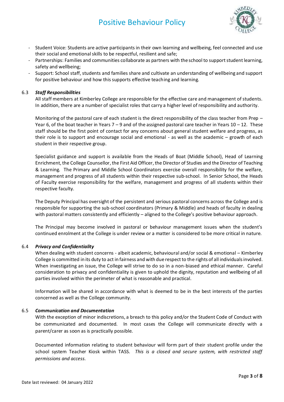

- Student Voice: Students are active participants in their own learning and wellbeing, feel connected and use their social and emotional skills to be respectful, resilient and safe;
- Partnerships: Families and communities collaborate as partners with the school to support student learning, safety and wellbeing;
- Support: School staff, students and families share and cultivate an understanding of wellbeing and support for positive behaviour and how this supports effective teaching and learning.

#### 6.3 *Staff Responsibilities*

All staff members at Kimberley College are responsible for the effective care and management of students. In addition, there are a number of specialist roles that carry a higher level of responsibility and authority.

Monitoring of the pastoral care of each student is the direct responsibility of the class teacher from Prep – Year 6, of the boat teacher in Years  $7 - 9$  and of the assigned pastoral care teacher in Years  $10 - 12$ . These staff should be the first point of contact for any concerns about general student welfare and progress, as their role is to support and encourage social and emotional - as well as the academic – growth of each student in their respective group.

Specialist guidance and support is available from the Heads of Boat (Middle School), Head of Learning Enrichment, the College Counsellor, the First Aid Officer, the Director of Studies and the Director of Teaching & Learning. The Primary and Middle School Coordinators exercise overall responsibility for the welfare, management and progress of all students within their respective sub-school. In Senior School, the Heads of Faculty exercise responsibility for the welfare, management and progress of all students within their respective faculty.

The Deputy Principal has oversight of the persistent and serious pastoral concerns across the College and is responsible for supporting the sub-school coordinators (Primary & Middle) and heads of faculty in dealing with pastoral matters consistently and efficiently – aligned to the College's positive behaviour approach.

The Principal may become involved in pastoral or behaviour management issues when the student's continued enrolment at the College is under review or a matter is considered to be more critical in nature.

#### 6.4 *Privacy and Confidentiality*

When dealing with student concerns - albeit academic, behavioural and/or social & emotional – Kimberley College is committed in its duty to act in fairness and with due respect to the rights of all individuals involved. When investigating an issue, the College will strive to do so in a non-biased and ethical manner. Careful consideration to privacy and confidentiality is given to uphold the dignity, reputation and wellbeing of all parties involved within the perimeter of what is reasonable and practical.

Information will be shared in accordance with what is deemed to be in the best interests of the parties concerned as well as the College community.

#### 6.5 *Communication and Documentation*

With the exception of minor indiscretions, a breach to this policy and/or the Student Code of Conduct with be communicated and documented. In most cases the College will communicate directly with a parent/carer as soon as is practically possible.

Documented information relating to student behaviour will form part of their student profile under the school system Teacher Kiosk within TASS. *This is a closed and secure system, with restricted staff permissions and access.*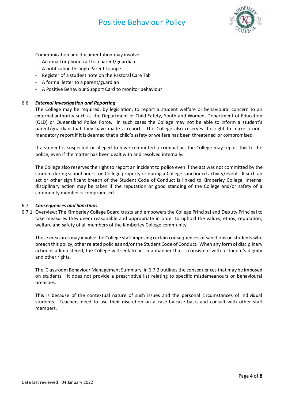

Communication and documentation may involve:

- An email or phone call to a parent/guardian
- A notification through Parent Lounge.
- Register of a student note on the Pastoral Care Tab
- A formal letter to a parent/guardian
- A Positive Behaviour Support Card to monitor behaviour

#### 6.6 *External Investigation and Reporting*

The College may be required, by legislation, to report a student welfare or behavioural concern to an external authority such as the Department of Child Safety, Youth and Women, Department of Education (QLD) or Queensland Police Force. In such cases the College may not be able to inform a student's parent/guardian that they have made a report. The College also reserves the right to make a nonmandatory report if it is deemed that a child's safety or welfare has been threatened or compromised.

If a student is suspected or alleged to have committed a criminal act the College may report this to the police, even if the matter has been dealt with and resolved internally.

The College also reserves the right to report an incident to police even if the act was not committed by the student during school hours, on College property or during a College sanctioned activity/event. If such an act or other significant breach of the Student Code of Conduct is linked to Kimberley College, internal disciplinary action may be taken if the reputation or good standing of the College and/or safety of a community member is compromised.

#### 6.7 *Consequences and Sanctions*

6.7.1 Overview: The Kimberley College Board trusts and empowers the College Principal and Deputy Principal to take measures they deem reasonable and appropriate in order to uphold the values, ethos, reputation, welfare and safety of all members of the Kimberley College community.

These measures may involve the College staff imposing certain consequences or sanctions on students who breach this policy, other related policies and/or the Student Code of Conduct. When any form of disciplinary action is administered, the College will seek to act in a manner that is consistent with a student's dignity and other rights.

The 'Classroom Behaviour Management Summary' in 6.7.2 outlines the consequences that may be imposed on students. It does not provide a prescriptive list relating to specific misdemeanours or behavioural breaches.

This is because of the contextual nature of such issues and the personal circumstances of individual students. Teachers need to use their discretion on a case-by-case basis and consult with other staff members.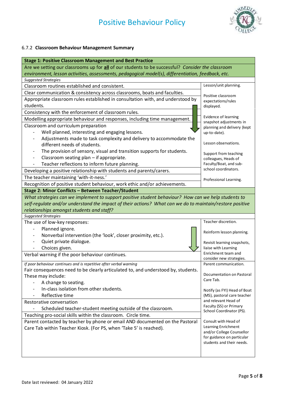

## 6.7.2 **Classroom Behaviour Management Summary**

| <b>Stage 1: Positive Classroom Management and Best Practice</b>                                          |                                                   |  |
|----------------------------------------------------------------------------------------------------------|---------------------------------------------------|--|
| Are we setting our classrooms up for all of our students to be successful? Consider the classroom        |                                                   |  |
| environment, lesson activities, assessments, pedagogical model(s), differentiation, feedback, etc.       |                                                   |  |
| <b>Suggested Strategies</b>                                                                              |                                                   |  |
| Classroom routines established and consistent.                                                           | Lesson/unit planning.                             |  |
| Clear communication & consistency across classrooms, boats and faculties.                                | Positive classroom                                |  |
| Appropriate classroom rules established in consultation with, and understood by                          | expectations/rules                                |  |
| students.                                                                                                | displayed.                                        |  |
| Consistency with the enforcement of classroom rules.                                                     |                                                   |  |
| Modelling appropriate behaviour and responses, including time management.                                | Evidence of learning<br>snapshot adjustments in   |  |
| Classroom and curriculum preparation                                                                     | planning and delivery (kept                       |  |
| Well planned, interesting and engaging lessons.                                                          | up-to-date).                                      |  |
| Adjustments made to task complexity and delivery to accommodate the                                      |                                                   |  |
| different needs of students.                                                                             | Lesson observations.                              |  |
| The provision of sensory, visual and transition supports for students.                                   | Support from teaching                             |  |
| Classroom seating plan - if appropriate.                                                                 | colleagues, Heads of                              |  |
| Teacher reflections to inform future planning.                                                           | Faculty/Boat, and sub-                            |  |
| Developing a positive relationship with students and parents/carers.                                     | school coordinators.                              |  |
| The teacher maintaining 'with-it-ness.'                                                                  | Professional Learning.                            |  |
| Recognition of positive student behaviour, work ethic and/or achievements.                               |                                                   |  |
| Stage 2: Minor Conflicts - Between Teacher/Student                                                       |                                                   |  |
| What strategies can we implement to support positive student behaviour? How can we help students to      |                                                   |  |
| self-regulate and/or understand the impact of their actions? What can we do to maintain/restore positive |                                                   |  |
| relationships amongst students and staff?                                                                |                                                   |  |
| <b>Suggested Strategies</b>                                                                              |                                                   |  |
| The use of low-key responses:                                                                            | Teacher discretion.                               |  |
| Planned ignore.                                                                                          | Reinform lesson planning.                         |  |
| Nonverbal intervention (the 'look', closer proximity, etc.).                                             |                                                   |  |
| Quiet private dialogue.                                                                                  | Revisit learning snapshots,                       |  |
| Choices given.                                                                                           | liaise with Learning                              |  |
| Verbal warning if the poor behaviour continues.                                                          | Enrichment team and                               |  |
| If poor behaviour continues and is repetitive after verbal warning                                       | consider new strategies.<br>Parent communication. |  |
| Fair consequences need to be clearly articulated to, and understood by, students.                        |                                                   |  |
| These may include:                                                                                       | Documentation on Pastoral                         |  |
| A change to seating.                                                                                     | Care Tab.                                         |  |
| In-class isolation from other students.                                                                  | Notify (as FYI) Head of Boat                      |  |
| Reflective time                                                                                          | (MS), pastoral care teacher                       |  |
| Restorative conversation                                                                                 | and relevant Head of                              |  |
| Scheduled teacher-student meeting outside of the classroom.                                              | Faculty (SS) or Primary                           |  |
| Teaching pro-social skills within the classroom. Circle time.                                            |                                                   |  |
| Parent contacted by teacher by phone or email AND documented on the Pastoral                             | School Coordinator (PS).                          |  |
|                                                                                                          |                                                   |  |
|                                                                                                          | Consult with Head of<br>Learning Enrichment       |  |
| Care Tab within Teacher Kiosk. (For PS, when 'Take 5' is reached).                                       | and/or College Counsellor                         |  |
|                                                                                                          | for guidance on particular                        |  |
|                                                                                                          | students and their needs.                         |  |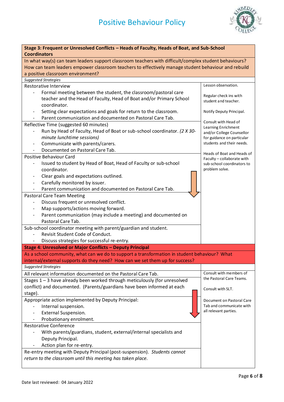

| Stage 3: Frequent or Unresolved Conflicts - Heads of Faculty, Heads of Boat, and Sub-School<br><b>Coordinators</b> |                                                         |  |
|--------------------------------------------------------------------------------------------------------------------|---------------------------------------------------------|--|
| In what way(s) can team leaders support classroom teachers with difficult/complex student behaviours?              |                                                         |  |
| How can team leaders empower classroom teachers to effectively manage student behaviour and rebuild                |                                                         |  |
| a positive classroom environment?                                                                                  |                                                         |  |
| <b>Suggested Strategies</b>                                                                                        |                                                         |  |
| <b>Restorative Interview</b>                                                                                       | Lesson observation.                                     |  |
| Formal meeting between the student, the classroom/pastoral care                                                    |                                                         |  |
| teacher and the Head of Faculty, Head of Boat and/or Primary School                                                | Regular check ins with                                  |  |
| coordinator.                                                                                                       | student and teacher.                                    |  |
| Setting clear expectations and goals for return to the classroom.                                                  | Notify Deputy Principal.                                |  |
| Parent communication and documented on Pastoral Care Tab.                                                          |                                                         |  |
| Reflective Time (suggested 60 minutes)                                                                             | Consult with Head of                                    |  |
| Run by Head of Faculty, Head of Boat or sub-school coordinator. (2 X 30-                                           | Learning Enrichment                                     |  |
| minute lunchtime sessions)                                                                                         | and/or College Counsellor                               |  |
| Communicate with parents/carers.                                                                                   | for guidance on particular<br>students and their needs. |  |
|                                                                                                                    |                                                         |  |
| Documented on Pastoral Care Tab.<br>Positive Behaviour Card                                                        | Heads of Boat and Heads of                              |  |
|                                                                                                                    | Faculty - collaborate with                              |  |
| Issued to student by Head of Boat, Head of Faculty or sub-school                                                   | sub-school coordinators to                              |  |
| coordinator.                                                                                                       | problem solve.                                          |  |
| Clear goals and expectations outlined.                                                                             |                                                         |  |
| Carefully monitored by issuer.                                                                                     |                                                         |  |
| Parent communication and documented on Pastoral Care Tab.                                                          |                                                         |  |
| Pastoral Care Team Meeting                                                                                         |                                                         |  |
| Discuss frequent or unresolved conflict.                                                                           |                                                         |  |
| Map supports/actions moving forward.                                                                               |                                                         |  |
| Parent communication (may include a meeting) and documented on                                                     |                                                         |  |
| Pastoral Care Tab.                                                                                                 |                                                         |  |
| Sub-school coordinator meeting with parent/guardian and student.                                                   |                                                         |  |
| Revisit Student Code of Conduct.                                                                                   |                                                         |  |
| Discuss strategies for successful re-entry.                                                                        |                                                         |  |
| Stage 4: Unresolved or Major Conflicts - Deputy Principal                                                          |                                                         |  |
| As a school community, what can we do to support a transformation in student behaviour? What                       |                                                         |  |
| internal/external supports do they need? How can we set them up for success?                                       |                                                         |  |
| <b>Suggested Strategies</b>                                                                                        |                                                         |  |
| All relevant information documented on the Pastoral Care Tab.                                                      | Consult with members of                                 |  |
| Stages 1 - 3 have already been worked through meticulously (for unresolved                                         | the Pastoral Care Teams.                                |  |
| conflict) and documented. (Parents/guardians have been informed at each                                            | Consult with SLT.                                       |  |
| stage).                                                                                                            |                                                         |  |
| Appropriate action implemented by Deputy Principal:                                                                | Document on Pastoral Care                               |  |
| Internal suspension.                                                                                               | Tab and communicate with                                |  |
| <b>External Suspension.</b>                                                                                        | all relevant parties.                                   |  |
| Probationary enrolment.                                                                                            |                                                         |  |
| <b>Restorative Conference</b>                                                                                      |                                                         |  |
| With parents/guardians, student, external/internal specialists and                                                 |                                                         |  |
| Deputy Principal.                                                                                                  |                                                         |  |
| Action plan for re-entry.                                                                                          |                                                         |  |
| Re-entry meeting with Deputy Principal (post-suspension). Students cannot                                          |                                                         |  |
| return to the classroom until this meeting has taken place.                                                        |                                                         |  |
|                                                                                                                    |                                                         |  |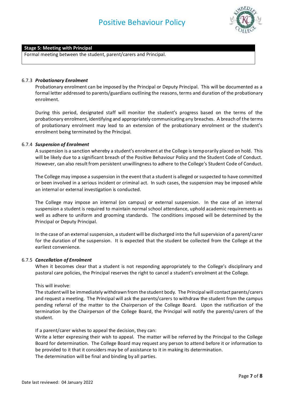

#### **Stage 5: Meeting with Principal**

Formal meeting between the student, parent/carers and Principal.

#### 6.7.3 *Probationary Enrolment*

Probationary enrolment can be imposed by the Principal or Deputy Principal. This will be documented as a formal letter addressed to parents/guardians outlining the reasons, terms and duration of the probationary enrolment.

During this period, designated staff will monitor the student's progress based on the terms of the probationary enrolment, identifying and appropriately communicating any breaches. A breach of the terms of probationary enrolment may lead to an extension of the probationary enrolment or the student's enrolment being terminated by the Principal.

#### 6.7.4 *Suspension of Enrolment*

A suspension is a sanction whereby a student's enrolment at the College is temporarily placed on hold. This will be likely due to a significant breach of the Positive Behaviour Policy and the Student Code of Conduct. However, can also result from persistent unwillingness to adhere to the College's Student Code of Conduct.

The College may impose a suspension in the event that a student is alleged or suspected to have committed or been involved in a serious incident or criminal act. In such cases, the suspension may be imposed while an internal or external investigation is conducted.

The College may impose an internal (on campus) or external suspension. In the case of an internal suspension a student is required to maintain normal school attendance, uphold academic requirements as well as adhere to uniform and grooming standards. The conditions imposed will be determined by the Principal or Deputy Principal.

In the case of an external suspension, a student will be discharged into the full supervision of a parent/carer for the duration of the suspension. It is expected that the student be collected from the College at the earliest convenience.

#### 6.7.5 *Cancellation of Enrolment*

When it becomes clear that a student is not responding appropriately to the College's disciplinary and pastoral care policies, the Principal reserves the right to cancel a student's enrolment at the College.

#### This will involve:

The student will be immediately withdrawn from the student body. The Principal will contact parents/carers and request a meeting. The Principal will ask the parents/carers to withdraw the student from the campus pending referral of the matter to the Chairperson of the College Board. Upon the ratification of the termination by the Chairperson of the College Board, the Principal will notify the parents/carers of the student.

If a parent/carer wishes to appeal the decision, they can:

Write a letter expressing their wish to appeal. The matter will be referred by the Principal to the College Board for determination. The College Board may request any person to attend before it or information to be provided to it that it considers may be of assistance to it in making its determination. The determination will be final and binding by all parties.